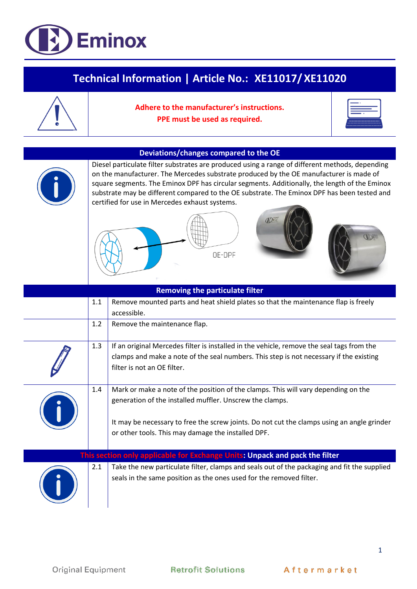

## **Technical Information | Article No.: XE11017/ XE11020**

| Adhere to the manufacturer's instructions. |
|--------------------------------------------|
| PPE must be used as required.              |
|                                            |



## **Deviations/changes compared to the OE**



Diesel particulate filter substrates are produced using a range of different methods, depending on the manufacturer. The Mercedes substrate produced by the OE manufacturer is made of square segments. The Eminox DPF has circular segments. Additionally, the length of the Eminox substrate may be different compared to the OE substrate. The Eminox DPF has been tested and certified for use in Mercedes exhaust systems.